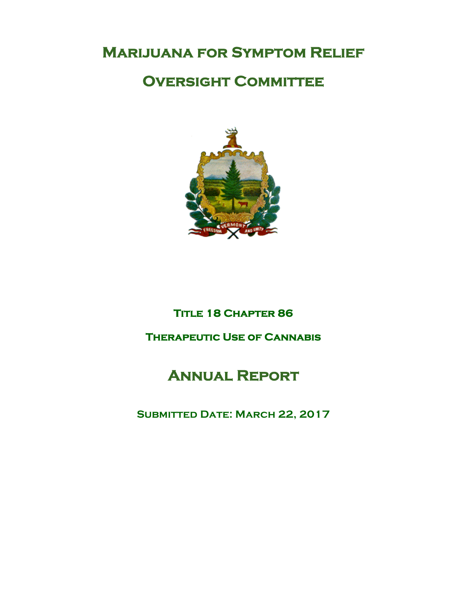# **Marijuana for Symptom Relief**

## **Oversight Committee**



## **Title 18 Chapter 86**

## **Therapeutic Use of Cannabis**

# **Annual Report**

## **Submitted Date: March 22, 2017**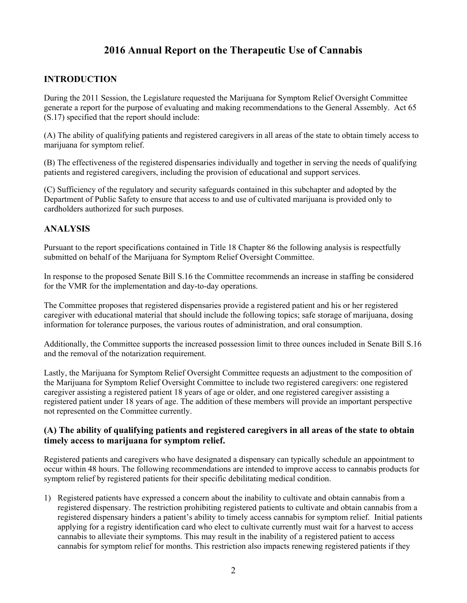## **2016 Annual Report on the Therapeutic Use of Cannabis**

### **INTRODUCTION**

During the 2011 Session, the Legislature requested the Marijuana for Symptom Relief Oversight Committee generate a report for the purpose of evaluating and making recommendations to the General Assembly. Act 65 (S.17) specified that the report should include:

(A) The ability of qualifying patients and registered caregivers in all areas of the state to obtain timely access to marijuana for symptom relief.

(B) The effectiveness of the registered dispensaries individually and together in serving the needs of qualifying patients and registered caregivers, including the provision of educational and support services.

(C) Sufficiency of the regulatory and security safeguards contained in this subchapter and adopted by the Department of Public Safety to ensure that access to and use of cultivated marijuana is provided only to cardholders authorized for such purposes.

### **ANALYSIS**

Pursuant to the report specifications contained in Title 18 Chapter 86 the following analysis is respectfully submitted on behalf of the Marijuana for Symptom Relief Oversight Committee.

In response to the proposed Senate Bill S.16 the Committee recommends an increase in staffing be considered for the VMR for the implementation and day-to-day operations.

The Committee proposes that registered dispensaries provide a registered patient and his or her registered caregiver with educational material that should include the following topics; safe storage of marijuana, dosing information for tolerance purposes, the various routes of administration, and oral consumption.

Additionally, the Committee supports the increased possession limit to three ounces included in Senate Bill S.16 and the removal of the notarization requirement.

Lastly, the Marijuana for Symptom Relief Oversight Committee requests an adjustment to the composition of the Marijuana for Symptom Relief Oversight Committee to include two registered caregivers: one registered caregiver assisting a registered patient 18 years of age or older, and one registered caregiver assisting a registered patient under 18 years of age. The addition of these members will provide an important perspective not represented on the Committee currently.

#### **(A) The ability of qualifying patients and registered caregivers in all areas of the state to obtain timely access to marijuana for symptom relief.**

Registered patients and caregivers who have designated a dispensary can typically schedule an appointment to occur within 48 hours. The following recommendations are intended to improve access to cannabis products for symptom relief by registered patients for their specific debilitating medical condition.

1) Registered patients have expressed a concern about the inability to cultivate and obtain cannabis from a registered dispensary. The restriction prohibiting registered patients to cultivate and obtain cannabis from a registered dispensary hinders a patient's ability to timely access cannabis for symptom relief. Initial patients applying for a registry identification card who elect to cultivate currently must wait for a harvest to access cannabis to alleviate their symptoms. This may result in the inability of a registered patient to access cannabis for symptom relief for months. This restriction also impacts renewing registered patients if they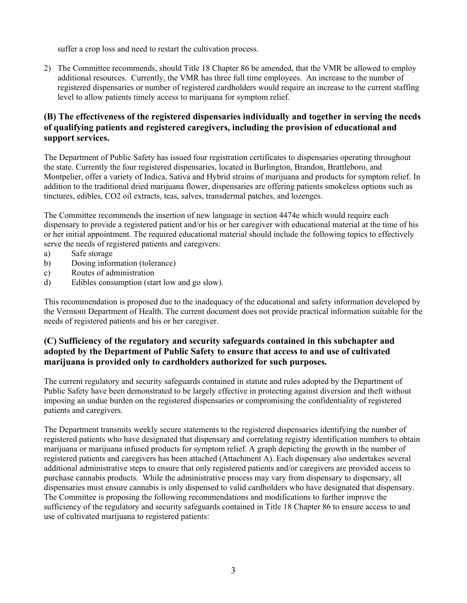suffer a crop loss and need to restart the cultivation process.

2) The Committee recommends, should Title 18 Chapter 86 be amended, that the VMR be allowed to employ additional resources. Currently, the VMR has three full time employees. An increase to the number of registered dispensaries or number of registered cardholders would require an increase to the current staffing level to allow patients timely access to marijuana for symptom relief.

### **(B) The effectiveness of the registered dispensaries individually and together in serving the needs of qualifying patients and registered caregivers, including the provision of educational and support services.**

The Department of Public Safety has issued four registration certificates to dispensaries operating throughout the state. Currently the four registered dispensaries, located in Burlington, Brandon, Brattleboro, and Montpelier, offer a variety of Indica, Sativa and Hybrid strains of marijuana and products for symptom relief. In addition to the traditional dried marijuana flower, dispensaries are offering patients smokeless options such as tinctures, edibles, CO2 oil extracts, teas, salves, transdermal patches, and lozenges.

The Committee recommends the insertion of new language in section 4474e which would require each dispensary to provide a registered patient and/or his or her caregiver with educational material at the time of his or her initial appointment. The required educational material should include the following topics to effectively serve the needs of registered patients and caregivers:

- a) Safe storage
- b) Dosing information (tolerance)
- c) Routes of administration
- d) Edibles consumption (start low and go slow).

This recommendation is proposed due to the inadequacy of the educational and safety information developed by the Vermont Department of Health. The current document does not provide practical information suitable for the needs of registered patients and his or her caregiver.

#### **(C) Sufficiency of the regulatory and security safeguards contained in this subchapter and adopted by the Department of Public Safety to ensure that access to and use of cultivated marijuana is provided only to cardholders authorized for such purposes.**

The current regulatory and security safeguards contained in statute and rules adopted by the Department of Public Safety have been demonstrated to be largely effective in protecting against diversion and theft without imposing an undue burden on the registered dispensaries or compromising the confidentiality of registered patients and caregivers.

The Department transmits weekly secure statements to the registered dispensaries identifying the number of registered patients who have designated that dispensary and correlating registry identification numbers to obtain marijuana or marijuana infused products for symptom relief. A graph depicting the growth in the number of registered patients and caregivers has been attached (Attachment A). Each dispensary also undertakes several additional administrative steps to ensure that only registered patients and/or caregivers are provided access to purchase cannabis products. While the administrative process may vary from dispensary to dispensary, all dispensaries must ensure cannabis is only dispensed to valid cardholders who have designated that dispensary. The Committee is proposing the following recommendations and modifications to further improve the sufficiency of the regulatory and security safeguards contained in Title 18 Chapter 86 to ensure access to and use of cultivated marijuana to registered patients: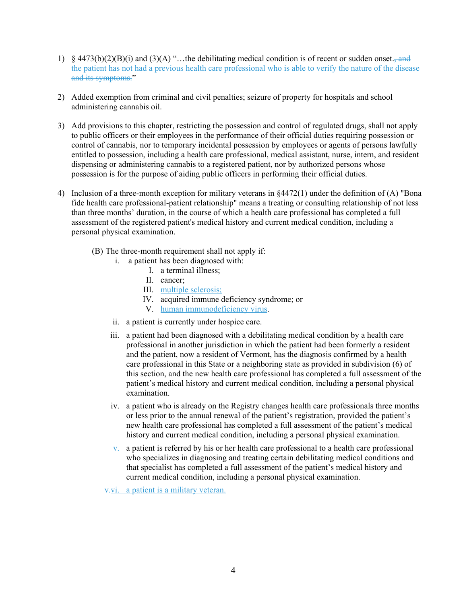- 1) § 4473(b)(2)(B)(i) and (3)(A) "...the debilitating medical condition is of recent or sudden onset., and the patient has not had a previous health care professional who is able to verify the nature of the disease and its symptoms."
- 2) Added exemption from criminal and civil penalties; seizure of property for hospitals and school administering cannabis oil.
- 3) Add provisions to this chapter, restricting the possession and control of regulated drugs, shall not apply to public officers or their employees in the performance of their official duties requiring possession or control of cannabis, nor to temporary incidental possession by employees or agents of persons lawfully entitled to possession, including a health care professional, medical assistant, nurse, intern, and resident dispensing or administering cannabis to a registered patient, nor by authorized persons whose possession is for the purpose of aiding public officers in performing their official duties.
- 4) Inclusion of a three-month exception for military veterans in §4472(1) under the definition of (A) "Bona fide health care professional-patient relationship" means a treating or consulting relationship of not less than three months' duration, in the course of which a health care professional has completed a full assessment of the registered patient's medical history and current medical condition, including a personal physical examination.
	- (B) The three-month requirement shall not apply if:
		- i. a patient has been diagnosed with:
			- I. a terminal illness;
			- II. cancer;
			- III. multiple sclerosis;
			- IV. acquired immune deficiency syndrome; or
			- V. human immunodeficiency virus.
		- ii. a patient is currently under hospice care.
		- iii. a patient had been diagnosed with a debilitating medical condition by a health care professional in another jurisdiction in which the patient had been formerly a resident and the patient, now a resident of Vermont, has the diagnosis confirmed by a health care professional in this State or a neighboring state as provided in subdivision (6) of this section, and the new health care professional has completed a full assessment of the patient's medical history and current medical condition, including a personal physical examination.
		- iv. a patient who is already on the Registry changes health care professionals three months or less prior to the annual renewal of the patient's registration, provided the patient's new health care professional has completed a full assessment of the patient's medical history and current medical condition, including a personal physical examination.
		- v. a patient is referred by his or her health care professional to a health care professional who specializes in diagnosing and treating certain debilitating medical conditions and that specialist has completed a full assessment of the patient's medical history and current medical condition, including a personal physical examination.

v.vi. a patient is a military veteran.